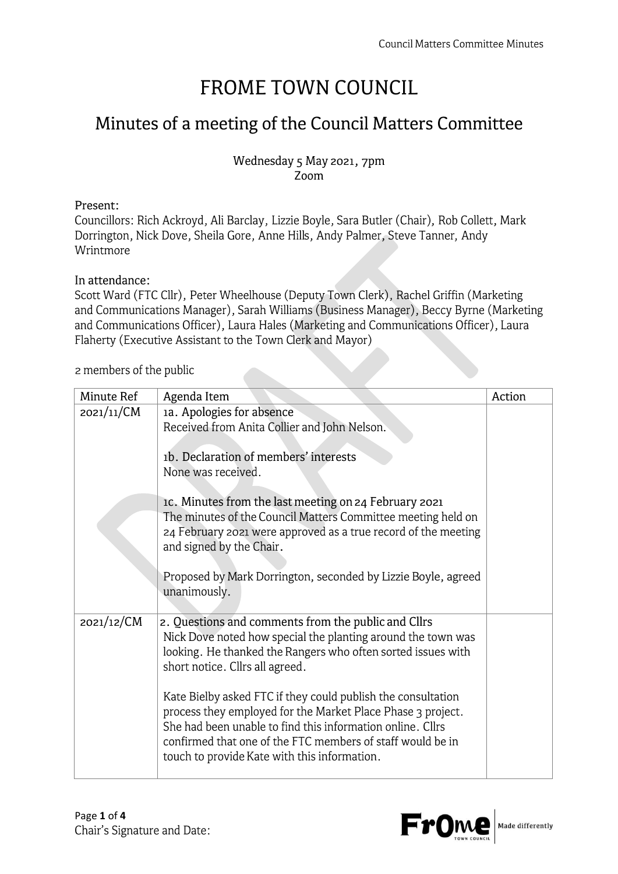# **FROME TOWN COUNCIL**

## **Minutes of a meeting of the Council Matters Committee**

### Wednesday 5 May 2021, 7pm Zoom

#### Present:

Councillors: Rich Ackroyd, Ali Barclay, Lizzie Boyle, Sara Butler (Chair), Rob Collett, Mark Dorrington, Nick Dove, Sheila Gore, Anne Hills, Andy Palmer, Steve Tanner, Andy Wrintmore

### In attendance:

Scott Ward (FTC Cllr), Peter Wheelhouse (Deputy Town Clerk), Rachel Griffin (Marketing and Communications Manager), Sarah Williams (Business Manager), Beccy Byrne (Marketing and Communications Officer), Laura Hales (Marketing and Communications Officer), Laura Flaherty (Executive Assistant to the Town Clerk and Mayor)

#### 2 members of the public

| Minute Ref | Agenda Item                                                                                                                                                                                                                                                                                             | Action |
|------------|---------------------------------------------------------------------------------------------------------------------------------------------------------------------------------------------------------------------------------------------------------------------------------------------------------|--------|
| 2021/11/CM | 1a. Apologies for absence<br>Received from Anita Collier and John Nelson.                                                                                                                                                                                                                               |        |
|            | 1b. Declaration of members' interests<br>None was received.                                                                                                                                                                                                                                             |        |
|            | IC. Minutes from the last meeting on 24 February 2021<br>The minutes of the Council Matters Committee meeting held on<br>24 February 2021 were approved as a true record of the meeting<br>and signed by the Chair.                                                                                     |        |
|            | Proposed by Mark Dorrington, seconded by Lizzie Boyle, agreed<br>unanimously.                                                                                                                                                                                                                           |        |
| 2021/12/CM | 2. Questions and comments from the public and Cllrs<br>Nick Dove noted how special the planting around the town was<br>looking. He thanked the Rangers who often sorted issues with<br>short notice. Cllrs all agreed.                                                                                  |        |
|            | Kate Bielby asked FTC if they could publish the consultation<br>process they employed for the Market Place Phase 3 project.<br>She had been unable to find this information online. Cllrs<br>confirmed that one of the FTC members of staff would be in<br>touch to provide Kate with this information. |        |

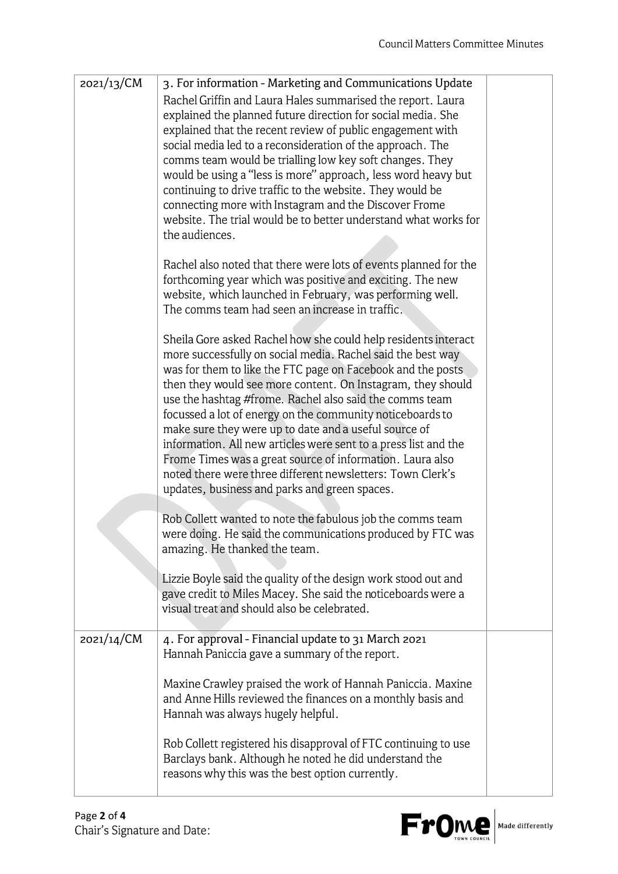| 2021/13/CM | 3. For information - Marketing and Communications Update                                                                      |  |
|------------|-------------------------------------------------------------------------------------------------------------------------------|--|
|            | Rachel Griffin and Laura Hales summarised the report. Laura                                                                   |  |
|            | explained the planned future direction for social media. She                                                                  |  |
|            | explained that the recent review of public engagement with                                                                    |  |
|            | social media led to a reconsideration of the approach. The<br>comms team would be trialling low key soft changes. They        |  |
|            | would be using a "less is more" approach, less word heavy but                                                                 |  |
|            | continuing to drive traffic to the website. They would be                                                                     |  |
|            | connecting more with Instagram and the Discover Frome                                                                         |  |
|            | website. The trial would be to better understand what works for                                                               |  |
|            | the audiences.                                                                                                                |  |
|            |                                                                                                                               |  |
|            | Rachel also noted that there were lots of events planned for the<br>forthcoming year which was positive and exciting. The new |  |
|            | website, which launched in February, was performing well.                                                                     |  |
|            | The comms team had seen an increase in traffic.                                                                               |  |
|            |                                                                                                                               |  |
|            | Sheila Gore asked Rachel how she could help residents interact                                                                |  |
|            | more successfully on social media. Rachel said the best way                                                                   |  |
|            | was for them to like the FTC page on Facebook and the posts                                                                   |  |
|            | then they would see more content. On Instagram, they should                                                                   |  |
|            | use the hashtag #frome. Rachel also said the comms team<br>focussed a lot of energy on the community noticeboards to          |  |
|            | make sure they were up to date and a useful source of                                                                         |  |
|            | information. All new articles were sent to a press list and the                                                               |  |
|            | Frome Times was a great source of information. Laura also                                                                     |  |
|            | noted there were three different newsletters: Town Clerk's                                                                    |  |
|            | updates, business and parks and green spaces.                                                                                 |  |
|            |                                                                                                                               |  |
|            | Rob Collett wanted to note the fabulous job the comms team<br>were doing. He said the communications produced by FTC was      |  |
|            | amazing. He thanked the team.                                                                                                 |  |
|            |                                                                                                                               |  |
|            | Lizzie Boyle said the quality of the design work stood out and                                                                |  |
|            | gave credit to Miles Macey. She said the noticeboards were a                                                                  |  |
|            | visual treat and should also be celebrated.                                                                                   |  |
| 2021/14/CM | 4. For approval - Financial update to 31 March 2021                                                                           |  |
|            | Hannah Paniccia gave a summary of the report.                                                                                 |  |
|            |                                                                                                                               |  |
|            | Maxine Crawley praised the work of Hannah Paniccia. Maxine                                                                    |  |
|            | and Anne Hills reviewed the finances on a monthly basis and                                                                   |  |
|            | Hannah was always hugely helpful.                                                                                             |  |
|            | Rob Collett registered his disapproval of FTC continuing to use                                                               |  |
|            | Barclays bank. Although he noted he did understand the                                                                        |  |
|            | reasons why this was the best option currently.                                                                               |  |
|            |                                                                                                                               |  |

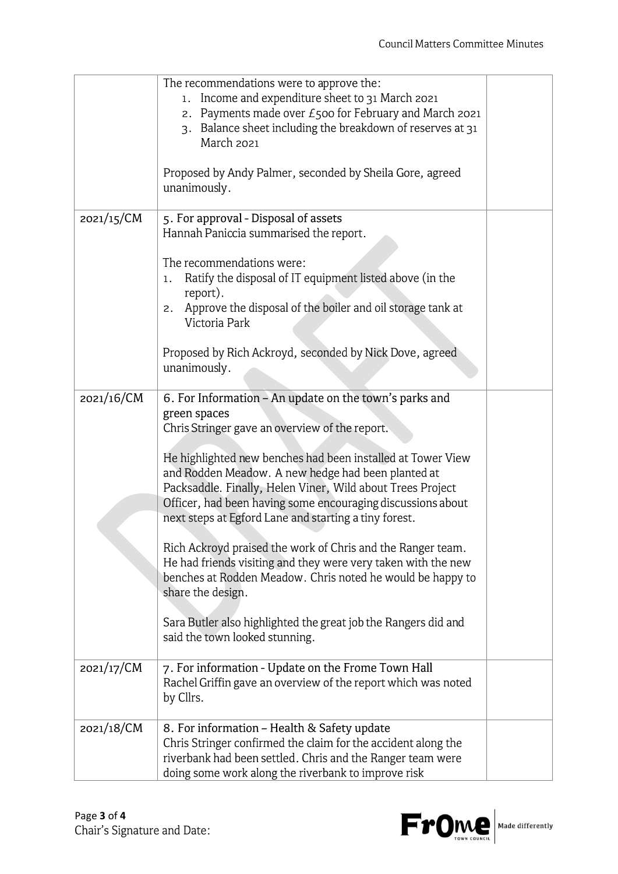|            | The recommendations were to approve the:<br>Income and expenditure sheet to 31 March 2021<br>1.<br>2. Payments made over $E$ 500 for February and March 2021<br>3. Balance sheet including the breakdown of reserves at 31<br>March 2021<br>Proposed by Andy Palmer, seconded by Sheila Gore, agreed<br>unanimously.                                                                                                                                                                                                                                                                                                                                                                                                                                       |  |
|------------|------------------------------------------------------------------------------------------------------------------------------------------------------------------------------------------------------------------------------------------------------------------------------------------------------------------------------------------------------------------------------------------------------------------------------------------------------------------------------------------------------------------------------------------------------------------------------------------------------------------------------------------------------------------------------------------------------------------------------------------------------------|--|
| 2021/15/CM | 5. For approval - Disposal of assets<br>Hannah Paniccia summarised the report.<br>The recommendations were:<br>Ratify the disposal of IT equipment listed above (in the<br>1.                                                                                                                                                                                                                                                                                                                                                                                                                                                                                                                                                                              |  |
|            | report).<br>Approve the disposal of the boiler and oil storage tank at<br>2.<br>Victoria Park                                                                                                                                                                                                                                                                                                                                                                                                                                                                                                                                                                                                                                                              |  |
|            | Proposed by Rich Ackroyd, seconded by Nick Dove, agreed<br>unanimously.                                                                                                                                                                                                                                                                                                                                                                                                                                                                                                                                                                                                                                                                                    |  |
| 2021/16/CM | 6. For Information - An update on the town's parks and<br>green spaces<br>Chris Stringer gave an overview of the report.<br>He highlighted new benches had been installed at Tower View<br>and Rodden Meadow. A new hedge had been planted at<br>Packsaddle. Finally, Helen Viner, Wild about Trees Project<br>Officer, had been having some encouraging discussions about<br>next steps at Egford Lane and starting a tiny forest.<br>Rich Ackroyd praised the work of Chris and the Ranger team.<br>He had friends visiting and they were very taken with the new<br>benches at Rodden Meadow. Chris noted he would be happy to<br>share the design.<br>Sara Butler also highlighted the great job the Rangers did and<br>said the town looked stunning. |  |
| 2021/17/CM | 7. For information - Update on the Frome Town Hall<br>Rachel Griffin gave an overview of the report which was noted<br>by Cllrs.                                                                                                                                                                                                                                                                                                                                                                                                                                                                                                                                                                                                                           |  |
| 2021/18/CM | 8. For information - Health & Safety update<br>Chris Stringer confirmed the claim for the accident along the<br>riverbank had been settled. Chris and the Ranger team were<br>doing some work along the riverbank to improve risk                                                                                                                                                                                                                                                                                                                                                                                                                                                                                                                          |  |